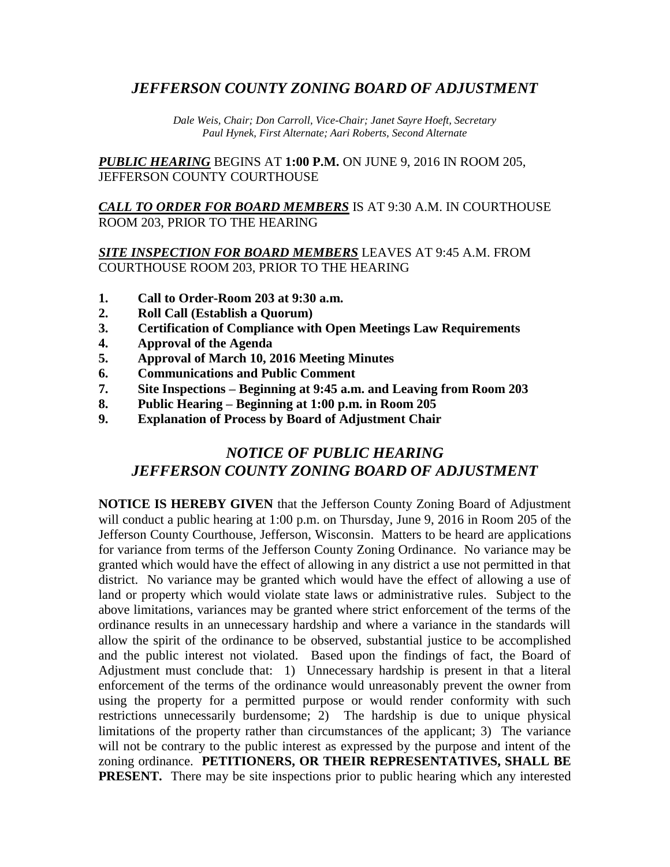## *JEFFERSON COUNTY ZONING BOARD OF ADJUSTMENT*

*Dale Weis, Chair; Don Carroll, Vice-Chair; Janet Sayre Hoeft, Secretary Paul Hynek, First Alternate; Aari Roberts, Second Alternate*

*PUBLIC HEARING* BEGINS AT **1:00 P.M.** ON JUNE 9, 2016 IN ROOM 205, JEFFERSON COUNTY COURTHOUSE

*CALL TO ORDER FOR BOARD MEMBERS* IS AT 9:30 A.M. IN COURTHOUSE ROOM 203, PRIOR TO THE HEARING

#### *SITE INSPECTION FOR BOARD MEMBERS* LEAVES AT 9:45 A.M. FROM COURTHOUSE ROOM 203, PRIOR TO THE HEARING

- **1. Call to Order-Room 203 at 9:30 a.m.**
- **2. Roll Call (Establish a Quorum)**
- **3. Certification of Compliance with Open Meetings Law Requirements**
- **4. Approval of the Agenda**
- **5. Approval of March 10, 2016 Meeting Minutes**
- **6. Communications and Public Comment**
- **7. Site Inspections – Beginning at 9:45 a.m. and Leaving from Room 203**
- **8. Public Hearing – Beginning at 1:00 p.m. in Room 205**
- **9. Explanation of Process by Board of Adjustment Chair**

# *NOTICE OF PUBLIC HEARING JEFFERSON COUNTY ZONING BOARD OF ADJUSTMENT*

**NOTICE IS HEREBY GIVEN** that the Jefferson County Zoning Board of Adjustment will conduct a public hearing at 1:00 p.m. on Thursday, June 9, 2016 in Room 205 of the Jefferson County Courthouse, Jefferson, Wisconsin. Matters to be heard are applications for variance from terms of the Jefferson County Zoning Ordinance. No variance may be granted which would have the effect of allowing in any district a use not permitted in that district. No variance may be granted which would have the effect of allowing a use of land or property which would violate state laws or administrative rules. Subject to the above limitations, variances may be granted where strict enforcement of the terms of the ordinance results in an unnecessary hardship and where a variance in the standards will allow the spirit of the ordinance to be observed, substantial justice to be accomplished and the public interest not violated. Based upon the findings of fact, the Board of Adjustment must conclude that: 1) Unnecessary hardship is present in that a literal enforcement of the terms of the ordinance would unreasonably prevent the owner from using the property for a permitted purpose or would render conformity with such restrictions unnecessarily burdensome; 2) The hardship is due to unique physical limitations of the property rather than circumstances of the applicant; 3) The variance will not be contrary to the public interest as expressed by the purpose and intent of the zoning ordinance. **PETITIONERS, OR THEIR REPRESENTATIVES, SHALL BE PRESENT.** There may be site inspections prior to public hearing which any interested